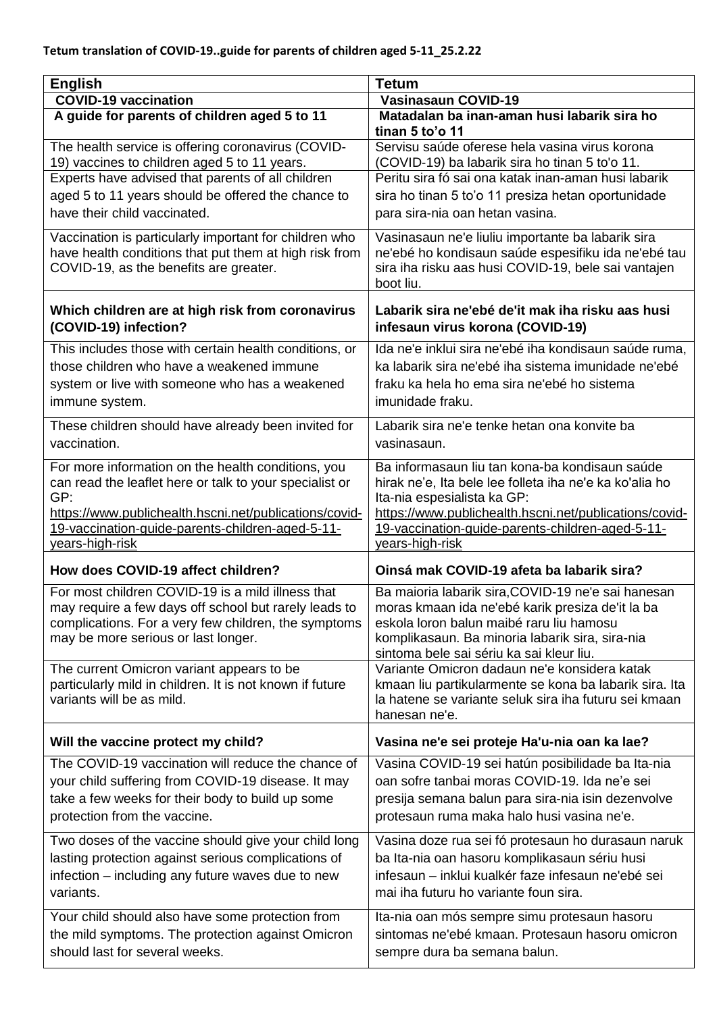| <b>English</b>                                                                                                                                             | <b>Tetum</b>                                                                                                                                                                 |
|------------------------------------------------------------------------------------------------------------------------------------------------------------|------------------------------------------------------------------------------------------------------------------------------------------------------------------------------|
| <b>COVID-19 vaccination</b>                                                                                                                                | <b>Vasinasaun COVID-19</b>                                                                                                                                                   |
| A guide for parents of children aged 5 to 11                                                                                                               | Matadalan ba inan-aman husi labarik sira ho<br>tinan 5 to'o 11                                                                                                               |
| The health service is offering coronavirus (COVID-<br>19) vaccines to children aged 5 to 11 years.                                                         | Servisu saúde oferese hela vasina virus korona<br>(COVID-19) ba labarik sira ho tinan 5 to'o 11.                                                                             |
| Experts have advised that parents of all children                                                                                                          | Peritu sira fó sai ona katak inan-aman husi labarik                                                                                                                          |
| aged 5 to 11 years should be offered the chance to                                                                                                         | sira ho tinan 5 to'o 11 presiza hetan oportunidade                                                                                                                           |
| have their child vaccinated.                                                                                                                               | para sira-nia oan hetan vasina.                                                                                                                                              |
| Vaccination is particularly important for children who<br>have health conditions that put them at high risk from<br>COVID-19, as the benefits are greater. | Vasinasaun ne'e liuliu importante ba labarik sira<br>ne'ebé ho kondisaun saúde espesifiku ida ne'ebé tau<br>sira iha risku aas husi COVID-19, bele sai vantajen<br>boot liu. |
| Which children are at high risk from coronavirus<br>(COVID-19) infection?                                                                                  | Labarik sira ne'ebé de'it mak iha risku aas husi<br>infesaun virus korona (COVID-19)                                                                                         |
| This includes those with certain health conditions, or                                                                                                     | Ida ne'e inklui sira ne'ebé iha kondisaun saúde ruma,                                                                                                                        |
| those children who have a weakened immune                                                                                                                  | ka labarik sira ne'ebé iha sistema imunidade ne'ebé                                                                                                                          |
| system or live with someone who has a weakened                                                                                                             | fraku ka hela ho ema sira ne'ebé ho sistema                                                                                                                                  |
| immune system.                                                                                                                                             | imunidade fraku.                                                                                                                                                             |
| These children should have already been invited for<br>vaccination.                                                                                        | Labarik sira ne'e tenke hetan ona konvite ba<br>vasinasaun.                                                                                                                  |
| For more information on the health conditions, you                                                                                                         | Ba informasaun liu tan kona-ba kondisaun saúde                                                                                                                               |
| can read the leaflet here or talk to your specialist or                                                                                                    | hirak ne'e, Ita bele lee folleta iha ne'e ka ko'alia ho                                                                                                                      |
| GP:                                                                                                                                                        | Ita-nia espesialista ka GP:                                                                                                                                                  |
| https://www.publichealth.hscni.net/publications/covid-<br>19-vaccination-guide-parents-children-aged-5-11-                                                 | https://www.publichealth.hscni.net/publications/covid-<br>19-vaccination-guide-parents-children-aged-5-11-                                                                   |
| years-high-risk                                                                                                                                            | years-high-risk                                                                                                                                                              |
| How does COVID-19 affect children?                                                                                                                         | Oinsá mak COVID-19 afeta ba labarik sira?                                                                                                                                    |
| For most children COVID-19 is a mild illness that                                                                                                          | Ba maioria labarik sira, COVID-19 ne'e sai hanesan                                                                                                                           |
| may require a few days off school but rarely leads to                                                                                                      | moras kmaan ida ne'ebé karik presiza de'it la ba                                                                                                                             |
| complications. For a very few children, the symptoms<br>may be more serious or last longer.                                                                | eskola loron balun maibé raru liu hamosu                                                                                                                                     |
|                                                                                                                                                            | komplikasaun. Ba minoria labarik sira, sira-nia<br>sintoma bele sai sériu ka sai kleur liu.                                                                                  |
| The current Omicron variant appears to be                                                                                                                  | Variante Omicron dadaun ne'e konsidera katak                                                                                                                                 |
| particularly mild in children. It is not known if future                                                                                                   | kmaan liu partikularmente se kona ba labarik sira. Ita                                                                                                                       |
| variants will be as mild.                                                                                                                                  | la hatene se variante seluk sira iha futuru sei kmaan<br>hanesan ne'e.                                                                                                       |
| Will the vaccine protect my child?                                                                                                                         | Vasina ne'e sei proteje Ha'u-nia oan ka lae?                                                                                                                                 |
| The COVID-19 vaccination will reduce the chance of                                                                                                         | Vasina COVID-19 sei hatún posibilidade ba Ita-nia                                                                                                                            |
| your child suffering from COVID-19 disease. It may                                                                                                         | oan sofre tanbai moras COVID-19. Ida ne'e sei                                                                                                                                |
| take a few weeks for their body to build up some                                                                                                           | presija semana balun para sira-nia isin dezenvolve                                                                                                                           |
| protection from the vaccine.                                                                                                                               | protesaun ruma maka halo husi vasina ne'e.                                                                                                                                   |
| Two doses of the vaccine should give your child long                                                                                                       | Vasina doze rua sei fó protesaun ho durasaun naruk                                                                                                                           |
| lasting protection against serious complications of                                                                                                        | ba Ita-nia oan hasoru komplikasaun sériu husi                                                                                                                                |
| infection – including any future waves due to new                                                                                                          | infesaun - inklui kualkér faze infesaun ne'ebé sei                                                                                                                           |
| variants.                                                                                                                                                  | mai iha futuru ho variante foun sira.                                                                                                                                        |
| Your child should also have some protection from                                                                                                           | Ita-nia oan mós sempre simu protesaun hasoru                                                                                                                                 |
|                                                                                                                                                            |                                                                                                                                                                              |
| the mild symptoms. The protection against Omicron                                                                                                          | sintomas ne'ebé kmaan. Protesaun hasoru omicron                                                                                                                              |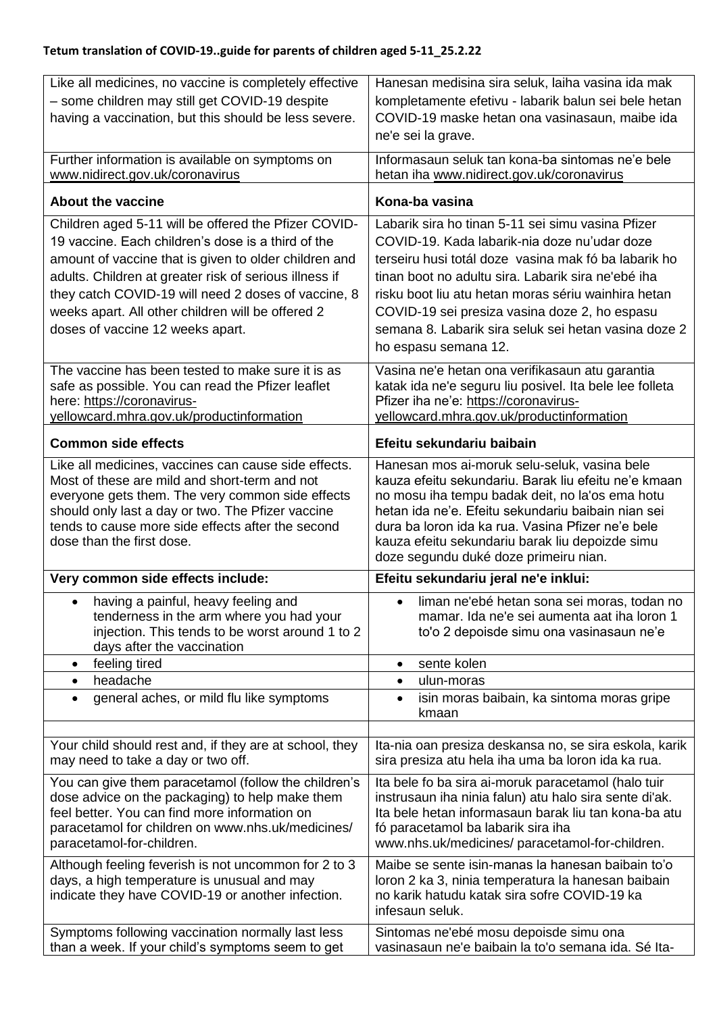| Like all medicines, no vaccine is completely effective                                                 | Hanesan medisina sira seluk, laiha vasina ida mak                                                            |
|--------------------------------------------------------------------------------------------------------|--------------------------------------------------------------------------------------------------------------|
| - some children may still get COVID-19 despite                                                         | kompletamente efetivu - labarik balun sei bele hetan                                                         |
| having a vaccination, but this should be less severe.                                                  | COVID-19 maske hetan ona vasinasaun, maibe ida                                                               |
|                                                                                                        | ne'e sei la grave.                                                                                           |
| Further information is available on symptoms on                                                        | Informasaun seluk tan kona-ba sintomas ne'e bele                                                             |
| www.nidirect.gov.uk/coronavirus                                                                        | hetan iha www.nidirect.gov.uk/coronavirus                                                                    |
| <b>About the vaccine</b>                                                                               | Kona-ba vasina                                                                                               |
| Children aged 5-11 will be offered the Pfizer COVID-                                                   | Labarik sira ho tinan 5-11 sei simu vasina Pfizer                                                            |
| 19 vaccine. Each children's dose is a third of the                                                     | COVID-19. Kada labarik-nia doze nu'udar doze                                                                 |
| amount of vaccine that is given to older children and                                                  | terseiru husi totál doze vasina mak fó ba labarik ho                                                         |
| adults. Children at greater risk of serious illness if                                                 | tinan boot no adultu sira. Labarik sira ne'ebé iha                                                           |
| they catch COVID-19 will need 2 doses of vaccine, 8                                                    | risku boot liu atu hetan moras sériu wainhira hetan                                                          |
| weeks apart. All other children will be offered 2                                                      | COVID-19 sei presiza vasina doze 2, ho espasu                                                                |
| doses of vaccine 12 weeks apart.                                                                       | semana 8. Labarik sira seluk sei hetan vasina doze 2                                                         |
|                                                                                                        | ho espasu semana 12.                                                                                         |
| The vaccine has been tested to make sure it is as                                                      | Vasina ne'e hetan ona verifikasaun atu garantia                                                              |
| safe as possible. You can read the Pfizer leaflet                                                      | katak ida ne'e seguru liu posivel. Ita bele lee folleta                                                      |
| here: https://coronavirus-                                                                             | Pfizer iha ne'e: https://coronavirus-                                                                        |
| yellowcard.mhra.gov.uk/productinformation                                                              | yellowcard.mhra.gov.uk/productinformation                                                                    |
| <b>Common side effects</b>                                                                             | Efeitu sekundariu baibain                                                                                    |
| Like all medicines, vaccines can cause side effects.                                                   | Hanesan mos ai-moruk selu-seluk, vasina bele                                                                 |
| Most of these are mild and short-term and not<br>everyone gets them. The very common side effects      | kauza efeitu sekundariu. Barak liu efeitu ne'e kmaan<br>no mosu iha tempu badak deit, no la'os ema hotu      |
| should only last a day or two. The Pfizer vaccine                                                      | hetan ida ne'e. Efeitu sekundariu baibain nian sei                                                           |
| tends to cause more side effects after the second                                                      | dura ba loron ida ka rua. Vasina Pfizer ne'e bele                                                            |
| dose than the first dose.                                                                              | kauza efeitu sekundariu barak liu depoizde simu                                                              |
|                                                                                                        | doze segundu duké doze primeiru nian.                                                                        |
| Very common side effects include:                                                                      | Efeitu sekundariu jeral ne'e inklui:                                                                         |
| having a painful, heavy feeling and<br>$\bullet$                                                       | liman ne'ebé hetan sona sei moras, todan no                                                                  |
| tenderness in the arm where you had your<br>injection. This tends to be worst around 1 to 2            | mamar. Ida ne'e sei aumenta aat iha loron 1<br>to'o 2 depoisde simu ona vasinasaun ne'e                      |
| days after the vaccination                                                                             |                                                                                                              |
| feeling tired<br>$\bullet$                                                                             | sente kolen<br>$\bullet$                                                                                     |
| headache<br>$\bullet$                                                                                  | ulun-moras<br>$\bullet$                                                                                      |
| general aches, or mild flu like symptoms<br>$\bullet$                                                  | isin moras baibain, ka sintoma moras gripe<br>$\bullet$<br>kmaan                                             |
|                                                                                                        |                                                                                                              |
| Your child should rest and, if they are at school, they<br>may need to take a day or two off.          | Ita-nia oan presiza deskansa no, se sira eskola, karik<br>sira presiza atu hela iha uma ba loron ida ka rua. |
| You can give them paracetamol (follow the children's                                                   | Ita bele fo ba sira ai-moruk paracetamol (halo tuir                                                          |
| dose advice on the packaging) to help make them                                                        | instrusaun iha ninia falun) atu halo sira sente di'ak.                                                       |
| feel better. You can find more information on<br>paracetamol for children on www.nhs.uk/medicines/     | Ita bele hetan informasaun barak liu tan kona-ba atu<br>fó paracetamol ba labarik sira iha                   |
| paracetamol-for-children.                                                                              | www.nhs.uk/medicines/ paracetamol-for-children.                                                              |
| Although feeling feverish is not uncommon for 2 to 3                                                   | Maibe se sente isin-manas la hanesan baibain to'o                                                            |
| days, a high temperature is unusual and may                                                            | loron 2 ka 3, ninia temperatura la hanesan baibain                                                           |
| indicate they have COVID-19 or another infection.                                                      | no karik hatudu katak sira sofre COVID-19 ka<br>infesaun seluk.                                              |
|                                                                                                        |                                                                                                              |
| Symptoms following vaccination normally last less<br>than a week. If your child's symptoms seem to get | Sintomas ne'ebé mosu depoisde simu ona<br>vasinasaun ne'e baibain la to'o semana ida. Sé Ita-                |
|                                                                                                        |                                                                                                              |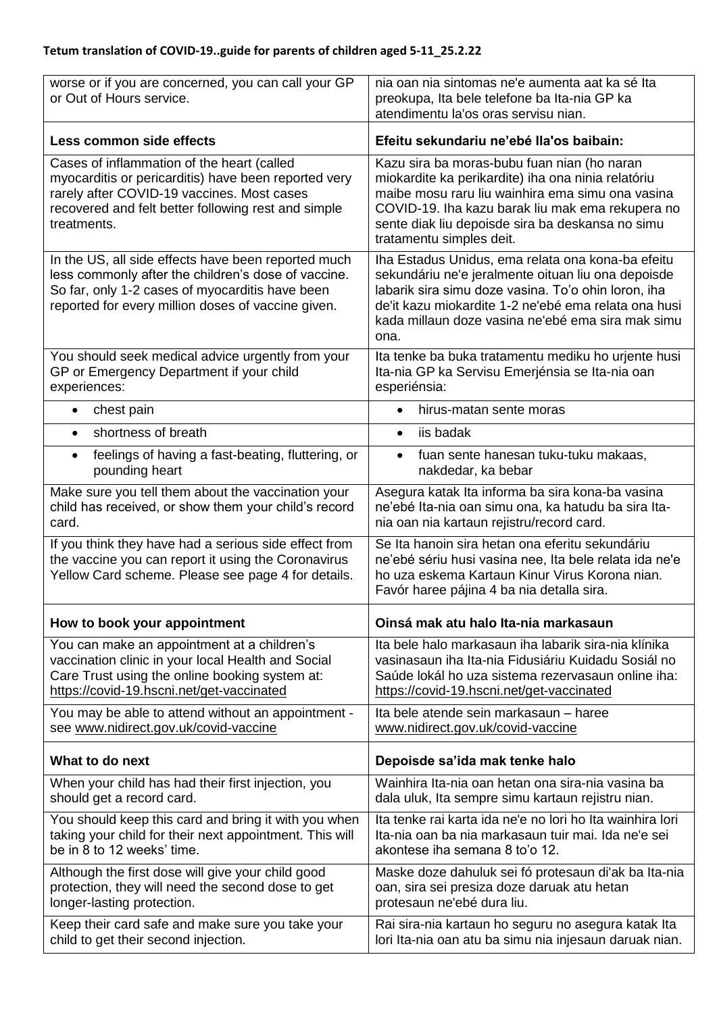| worse or if you are concerned, you can call your GP<br>or Out of Hours service.                                                                                                                                        | nia oan nia sintomas ne'e aumenta aat ka sé Ita<br>preokupa, Ita bele telefone ba Ita-nia GP ka<br>atendimentu la'os oras servisu nian.                                                                                                                                                   |
|------------------------------------------------------------------------------------------------------------------------------------------------------------------------------------------------------------------------|-------------------------------------------------------------------------------------------------------------------------------------------------------------------------------------------------------------------------------------------------------------------------------------------|
| Less common side effects                                                                                                                                                                                               | Efeitu sekundariu ne'ebé lla'os baibain:                                                                                                                                                                                                                                                  |
| Cases of inflammation of the heart (called<br>myocarditis or pericarditis) have been reported very<br>rarely after COVID-19 vaccines. Most cases<br>recovered and felt better following rest and simple<br>treatments. | Kazu sira ba moras-bubu fuan nian (ho naran<br>miokardite ka perikardite) iha ona ninia relatóriu<br>maibe mosu raru liu wainhira ema simu ona vasina<br>COVID-19. Iha kazu barak liu mak ema rekupera no<br>sente diak liu depoisde sira ba deskansa no simu<br>tratamentu simples deit. |
| In the US, all side effects have been reported much<br>less commonly after the children's dose of vaccine.<br>So far, only 1-2 cases of myocarditis have been<br>reported for every million doses of vaccine given.    | Iha Estadus Unidus, ema relata ona kona-ba efeitu<br>sekundáriu ne'e jeralmente oituan liu ona depoisde<br>labarik sira simu doze vasina. To'o ohin loron, iha<br>de'it kazu miokardite 1-2 ne'ebé ema relata ona husi<br>kada millaun doze vasina ne'ebé ema sira mak simu<br>ona.       |
| You should seek medical advice urgently from your                                                                                                                                                                      | Ita tenke ba buka tratamentu mediku ho urjente husi                                                                                                                                                                                                                                       |
| GP or Emergency Department if your child                                                                                                                                                                               | Ita-nia GP ka Servisu Emerjénsia se Ita-nia oan                                                                                                                                                                                                                                           |
| experiences:                                                                                                                                                                                                           | esperiénsia:                                                                                                                                                                                                                                                                              |
| chest pain                                                                                                                                                                                                             | hirus-matan sente moras                                                                                                                                                                                                                                                                   |
| $\bullet$                                                                                                                                                                                                              | $\bullet$                                                                                                                                                                                                                                                                                 |
| shortness of breath                                                                                                                                                                                                    | iis badak                                                                                                                                                                                                                                                                                 |
| $\bullet$                                                                                                                                                                                                              | $\bullet$                                                                                                                                                                                                                                                                                 |
| feelings of having a fast-beating, fluttering, or                                                                                                                                                                      | fuan sente hanesan tuku-tuku makaas,                                                                                                                                                                                                                                                      |
| $\bullet$                                                                                                                                                                                                              | $\bullet$                                                                                                                                                                                                                                                                                 |
| pounding heart                                                                                                                                                                                                         | nakdedar, ka bebar                                                                                                                                                                                                                                                                        |
| Make sure you tell them about the vaccination your                                                                                                                                                                     | Asegura katak Ita informa ba sira kona-ba vasina                                                                                                                                                                                                                                          |
| child has received, or show them your child's record                                                                                                                                                                   | ne'ebé Ita-nia oan simu ona, ka hatudu ba sira Ita-                                                                                                                                                                                                                                       |
| card.                                                                                                                                                                                                                  | nia oan nia kartaun rejistru/record card.                                                                                                                                                                                                                                                 |
| If you think they have had a serious side effect from<br>the vaccine you can report it using the Coronavirus<br>Yellow Card scheme. Please see page 4 for details.                                                     | Se Ita hanoin sira hetan ona eferitu sekundáriu<br>ne'ebé sériu husi vasina nee, Ita bele relata ida ne'e<br>ho uza eskema Kartaun Kinur Virus Korona nian.<br>Favór haree pájina 4 ba nia detalla sira.                                                                                  |
| How to book your appointment                                                                                                                                                                                           | Oinsá mak atu halo Ita-nia markasaun                                                                                                                                                                                                                                                      |
| You can make an appointment at a children's                                                                                                                                                                            | Ita bele halo markasaun iha labarik sira-nia klínika                                                                                                                                                                                                                                      |
| vaccination clinic in your local Health and Social                                                                                                                                                                     | vasinasaun iha Ita-nia Fidusiáriu Kuidadu Sosiál no                                                                                                                                                                                                                                       |
| Care Trust using the online booking system at:                                                                                                                                                                         | Saúde lokál ho uza sistema rezervasaun online iha:                                                                                                                                                                                                                                        |
| https://covid-19.hscni.net/get-vaccinated                                                                                                                                                                              | https://covid-19.hscni.net/get-vaccinated                                                                                                                                                                                                                                                 |
| You may be able to attend without an appointment -                                                                                                                                                                     | Ita bele atende sein markasaun - haree                                                                                                                                                                                                                                                    |
| see www.nidirect.gov.uk/covid-vaccine                                                                                                                                                                                  | www.nidirect.gov.uk/covid-vaccine                                                                                                                                                                                                                                                         |
| What to do next                                                                                                                                                                                                        | Depoisde sa'ida mak tenke halo                                                                                                                                                                                                                                                            |
| When your child has had their first injection, you                                                                                                                                                                     | Wainhira Ita-nia oan hetan ona sira-nia vasina ba                                                                                                                                                                                                                                         |
| should get a record card.                                                                                                                                                                                              | dala uluk, Ita sempre simu kartaun rejistru nian.                                                                                                                                                                                                                                         |
| You should keep this card and bring it with you when                                                                                                                                                                   | Ita tenke rai karta ida ne'e no lori ho Ita wainhira lori                                                                                                                                                                                                                                 |
| taking your child for their next appointment. This will                                                                                                                                                                | Ita-nia oan ba nia markasaun tuir mai. Ida ne'e sei                                                                                                                                                                                                                                       |
| be in 8 to 12 weeks' time.                                                                                                                                                                                             | akontese iha semana 8 to'o 12.                                                                                                                                                                                                                                                            |
| Although the first dose will give your child good                                                                                                                                                                      | Maske doze dahuluk sei fó protesaun di'ak ba Ita-nia                                                                                                                                                                                                                                      |
| protection, they will need the second dose to get                                                                                                                                                                      | oan, sira sei presiza doze daruak atu hetan                                                                                                                                                                                                                                               |
| longer-lasting protection.                                                                                                                                                                                             | protesaun ne'ebé dura liu.                                                                                                                                                                                                                                                                |
| Keep their card safe and make sure you take your                                                                                                                                                                       | Rai sira-nia kartaun ho seguru no asegura katak Ita                                                                                                                                                                                                                                       |
| child to get their second injection.                                                                                                                                                                                   | lori Ita-nia oan atu ba simu nia injesaun daruak nian.                                                                                                                                                                                                                                    |